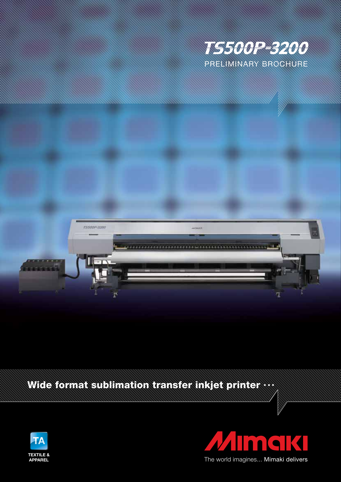



## Wide format sublimation transfer inkjet printer **...**





The world imagines... Mimaki delivers